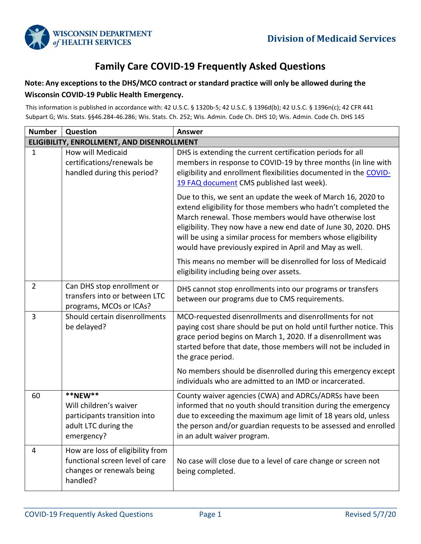

## **Family Care COVID-19 Frequently Asked Questions**

## **Note: Any exceptions to the DHS/MCO contract or standard practice will only be allowed during the Wisconsin COVID-19 Public Health Emergency.**

This information is published in accordance with: 42 U.S.C. § 1320b-5; 42 U.S.C. § 1396d(b); 42 U.S.C. § 1396n(c); 42 CFR 441 Subpart G; Wis. Stats. §§46.284-46.286; Wis. Stats. Ch. 252; Wis. Admin. Code Ch. DHS 10; Wis. Admin. Code Ch. DHS 145

| <b>Number</b>  | Question                                                                                                     | <b>Answer</b>                                                                                                                                                                                                                                                                                                                                                                          |
|----------------|--------------------------------------------------------------------------------------------------------------|----------------------------------------------------------------------------------------------------------------------------------------------------------------------------------------------------------------------------------------------------------------------------------------------------------------------------------------------------------------------------------------|
|                | ELIGIBILITY, ENROLLMENT, AND DISENROLLMENT                                                                   |                                                                                                                                                                                                                                                                                                                                                                                        |
| $1\,$          | How will Medicaid<br>certifications/renewals be<br>handled during this period?                               | DHS is extending the current certification periods for all<br>members in response to COVID-19 by three months (in line with<br>eligibility and enrollment flexibilities documented in the COVID-<br>19 FAQ document CMS published last week).                                                                                                                                          |
|                |                                                                                                              | Due to this, we sent an update the week of March 16, 2020 to<br>extend eligibility for those members who hadn't completed the<br>March renewal. Those members would have otherwise lost<br>eligibility. They now have a new end date of June 30, 2020. DHS<br>will be using a similar process for members whose eligibility<br>would have previously expired in April and May as well. |
|                |                                                                                                              | This means no member will be disenrolled for loss of Medicaid<br>eligibility including being over assets.                                                                                                                                                                                                                                                                              |
| $\overline{2}$ | Can DHS stop enrollment or<br>transfers into or between LTC<br>programs, MCOs or ICAs?                       | DHS cannot stop enrollments into our programs or transfers<br>between our programs due to CMS requirements.                                                                                                                                                                                                                                                                            |
| 3              | Should certain disenrollments<br>be delayed?                                                                 | MCO-requested disenrollments and disenrollments for not<br>paying cost share should be put on hold until further notice. This<br>grace period begins on March 1, 2020. If a disenrollment was<br>started before that date, those members will not be included in<br>the grace period.                                                                                                  |
|                |                                                                                                              | No members should be disenrolled during this emergency except<br>individuals who are admitted to an IMD or incarcerated.                                                                                                                                                                                                                                                               |
| 60             | **NEW**<br>Will children's waiver<br>participants transition into<br>adult LTC during the<br>emergency?      | County waiver agencies (CWA) and ADRCs/ADRSs have been<br>informed that no youth should transition during the emergency<br>due to exceeding the maximum age limit of 18 years old, unless<br>the person and/or guardian requests to be assessed and enrolled<br>in an adult waiver program.                                                                                            |
| 4              | How are loss of eligibility from<br>functional screen level of care<br>changes or renewals being<br>handled? | No case will close due to a level of care change or screen not<br>being completed.                                                                                                                                                                                                                                                                                                     |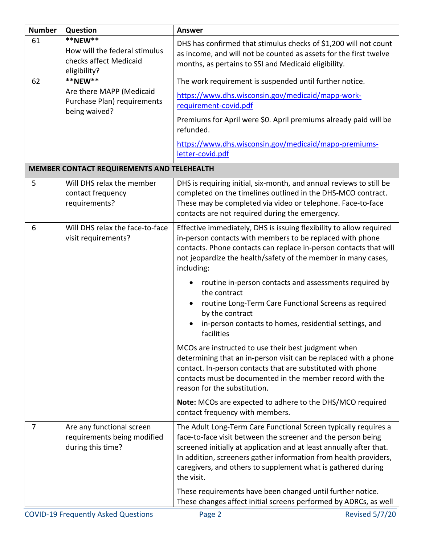| <b>Number</b> | Question                                                                           | <b>Answer</b>                                                                                                                                                                                                                                                                                                                                            |
|---------------|------------------------------------------------------------------------------------|----------------------------------------------------------------------------------------------------------------------------------------------------------------------------------------------------------------------------------------------------------------------------------------------------------------------------------------------------------|
| 61            | **NEW**<br>How will the federal stimulus<br>checks affect Medicaid<br>eligibility? | DHS has confirmed that stimulus checks of \$1,200 will not count<br>as income, and will not be counted as assets for the first twelve<br>months, as pertains to SSI and Medicaid eligibility.                                                                                                                                                            |
| 62            | **NEW**                                                                            | The work requirement is suspended until further notice.                                                                                                                                                                                                                                                                                                  |
|               | Are there MAPP (Medicaid<br>Purchase Plan) requirements<br>being waived?           | https://www.dhs.wisconsin.gov/medicaid/mapp-work-<br>requirement-covid.pdf                                                                                                                                                                                                                                                                               |
|               |                                                                                    | Premiums for April were \$0. April premiums already paid will be<br>refunded.                                                                                                                                                                                                                                                                            |
|               |                                                                                    | https://www.dhs.wisconsin.gov/medicaid/mapp-premiums-<br>letter-covid.pdf                                                                                                                                                                                                                                                                                |
|               | MEMBER CONTACT REQUIREMENTS AND TELEHEALTH                                         |                                                                                                                                                                                                                                                                                                                                                          |
| 5             | Will DHS relax the member<br>contact frequency<br>requirements?                    | DHS is requiring initial, six-month, and annual reviews to still be<br>completed on the timelines outlined in the DHS-MCO contract.<br>These may be completed via video or telephone. Face-to-face<br>contacts are not required during the emergency.                                                                                                    |
| 6             | Will DHS relax the face-to-face<br>visit requirements?                             | Effective immediately, DHS is issuing flexibility to allow required<br>in-person contacts with members to be replaced with phone<br>contacts. Phone contacts can replace in-person contacts that will<br>not jeopardize the health/safety of the member in many cases,<br>including:                                                                     |
|               |                                                                                    | routine in-person contacts and assessments required by<br>the contract<br>routine Long-Term Care Functional Screens as required<br>by the contract<br>in-person contacts to homes, residential settings, and<br>facilities                                                                                                                               |
|               |                                                                                    | MCOs are instructed to use their best judgment when<br>determining that an in-person visit can be replaced with a phone<br>contact. In-person contacts that are substituted with phone<br>contacts must be documented in the member record with the<br>reason for the substitution.                                                                      |
|               |                                                                                    | Note: MCOs are expected to adhere to the DHS/MCO required<br>contact frequency with members.                                                                                                                                                                                                                                                             |
| 7             | Are any functional screen<br>requirements being modified<br>during this time?      | The Adult Long-Term Care Functional Screen typically requires a<br>face-to-face visit between the screener and the person being<br>screened initially at application and at least annually after that.<br>In addition, screeners gather information from health providers,<br>caregivers, and others to supplement what is gathered during<br>the visit. |
|               |                                                                                    | These requirements have been changed until further notice.<br>These changes affect initial screens performed by ADRCs, as well                                                                                                                                                                                                                           |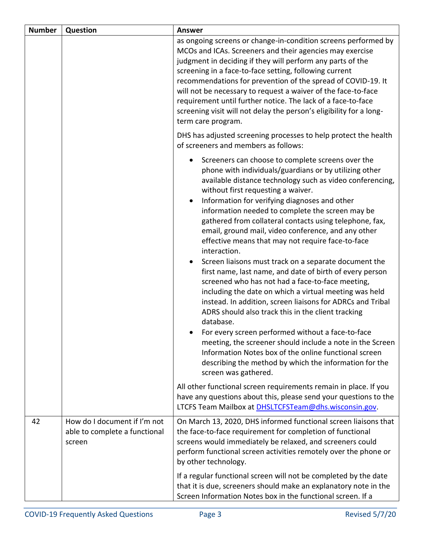| <b>Number</b> | Question                                                                | <b>Answer</b>                                                                                                                                                                                                                                                                                                                                                                                                                                                                                                                                                                                                                                                                                                                                                                                                                                                                                                                                                                                                                                                                                                                               |
|---------------|-------------------------------------------------------------------------|---------------------------------------------------------------------------------------------------------------------------------------------------------------------------------------------------------------------------------------------------------------------------------------------------------------------------------------------------------------------------------------------------------------------------------------------------------------------------------------------------------------------------------------------------------------------------------------------------------------------------------------------------------------------------------------------------------------------------------------------------------------------------------------------------------------------------------------------------------------------------------------------------------------------------------------------------------------------------------------------------------------------------------------------------------------------------------------------------------------------------------------------|
|               |                                                                         | as ongoing screens or change-in-condition screens performed by<br>MCOs and ICAs. Screeners and their agencies may exercise<br>judgment in deciding if they will perform any parts of the<br>screening in a face-to-face setting, following current<br>recommendations for prevention of the spread of COVID-19. It<br>will not be necessary to request a waiver of the face-to-face<br>requirement until further notice. The lack of a face-to-face<br>screening visit will not delay the person's eligibility for a long-<br>term care program.                                                                                                                                                                                                                                                                                                                                                                                                                                                                                                                                                                                            |
|               |                                                                         | DHS has adjusted screening processes to help protect the health<br>of screeners and members as follows:                                                                                                                                                                                                                                                                                                                                                                                                                                                                                                                                                                                                                                                                                                                                                                                                                                                                                                                                                                                                                                     |
|               |                                                                         | Screeners can choose to complete screens over the<br>phone with individuals/guardians or by utilizing other<br>available distance technology such as video conferencing,<br>without first requesting a waiver.<br>Information for verifying diagnoses and other<br>information needed to complete the screen may be<br>gathered from collateral contacts using telephone, fax,<br>email, ground mail, video conference, and any other<br>effective means that may not require face-to-face<br>interaction.<br>Screen liaisons must track on a separate document the<br>first name, last name, and date of birth of every person<br>screened who has not had a face-to-face meeting,<br>including the date on which a virtual meeting was held<br>instead. In addition, screen liaisons for ADRCs and Tribal<br>ADRS should also track this in the client tracking<br>database.<br>For every screen performed without a face-to-face<br>meeting, the screener should include a note in the Screen<br>Information Notes box of the online functional screen<br>describing the method by which the information for the<br>screen was gathered. |
|               |                                                                         | All other functional screen requirements remain in place. If you<br>have any questions about this, please send your questions to the<br>LTCFS Team Mailbox at DHSLTCFSTeam@dhs.wisconsin.gov.                                                                                                                                                                                                                                                                                                                                                                                                                                                                                                                                                                                                                                                                                                                                                                                                                                                                                                                                               |
| 42            | How do I document if I'm not<br>able to complete a functional<br>screen | On March 13, 2020, DHS informed functional screen liaisons that<br>the face-to-face requirement for completion of functional<br>screens would immediately be relaxed, and screeners could<br>perform functional screen activities remotely over the phone or<br>by other technology.                                                                                                                                                                                                                                                                                                                                                                                                                                                                                                                                                                                                                                                                                                                                                                                                                                                        |
|               |                                                                         | If a regular functional screen will not be completed by the date<br>that it is due, screeners should make an explanatory note in the<br>Screen Information Notes box in the functional screen. If a                                                                                                                                                                                                                                                                                                                                                                                                                                                                                                                                                                                                                                                                                                                                                                                                                                                                                                                                         |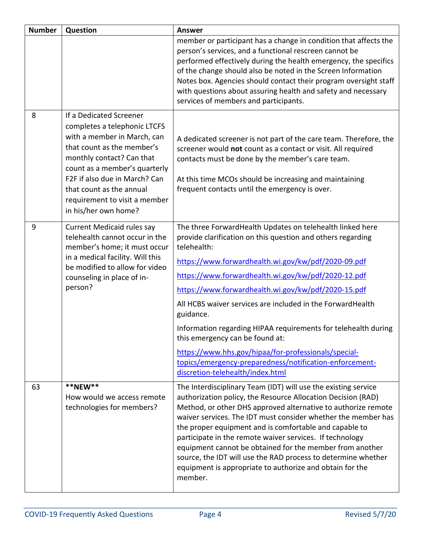| <b>Number</b> | Question                                                                                                                                                                                                                                                                                                 | <b>Answer</b>                                                                                                                                                                                                                                                                                                                                                                                                                                                                                                                                                                                                                                        |
|---------------|----------------------------------------------------------------------------------------------------------------------------------------------------------------------------------------------------------------------------------------------------------------------------------------------------------|------------------------------------------------------------------------------------------------------------------------------------------------------------------------------------------------------------------------------------------------------------------------------------------------------------------------------------------------------------------------------------------------------------------------------------------------------------------------------------------------------------------------------------------------------------------------------------------------------------------------------------------------------|
|               |                                                                                                                                                                                                                                                                                                          | member or participant has a change in condition that affects the<br>person's services, and a functional rescreen cannot be<br>performed effectively during the health emergency, the specifics<br>of the change should also be noted in the Screen Information<br>Notes box. Agencies should contact their program oversight staff<br>with questions about assuring health and safety and necessary<br>services of members and participants.                                                                                                                                                                                                         |
| 8             | If a Dedicated Screener<br>completes a telephonic LTCFS<br>with a member in March, can<br>that count as the member's<br>monthly contact? Can that<br>count as a member's quarterly<br>F2F if also due in March? Can<br>that count as the annual<br>requirement to visit a member<br>in his/her own home? | A dedicated screener is not part of the care team. Therefore, the<br>screener would not count as a contact or visit. All required<br>contacts must be done by the member's care team.<br>At this time MCOs should be increasing and maintaining<br>frequent contacts until the emergency is over.                                                                                                                                                                                                                                                                                                                                                    |
| 9             | <b>Current Medicaid rules say</b><br>telehealth cannot occur in the<br>member's home; it must occur<br>in a medical facility. Will this<br>be modified to allow for video<br>counseling in place of in-<br>person?                                                                                       | The three ForwardHealth Updates on telehealth linked here<br>provide clarification on this question and others regarding<br>telehealth:<br>https://www.forwardhealth.wi.gov/kw/pdf/2020-09.pdf<br>https://www.forwardhealth.wi.gov/kw/pdf/2020-12.pdf<br>https://www.forwardhealth.wi.gov/kw/pdf/2020-15.pdf<br>All HCBS waiver services are included in the Forward Health<br>guidance.<br>Information regarding HIPAA requirements for telehealth during<br>this emergency can be found at:<br>https://www.hhs.gov/hipaa/for-professionals/special-<br>topics/emergency-preparedness/notification-enforcement-<br>discretion-telehealth/index.html |
| 63            | **NEW**<br>How would we access remote<br>technologies for members?                                                                                                                                                                                                                                       | The Interdisciplinary Team (IDT) will use the existing service<br>authorization policy, the Resource Allocation Decision (RAD)<br>Method, or other DHS approved alternative to authorize remote<br>waiver services. The IDT must consider whether the member has<br>the proper equipment and is comfortable and capable to<br>participate in the remote waiver services. If technology<br>equipment cannot be obtained for the member from another<br>source, the IDT will use the RAD process to determine whether<br>equipment is appropriate to authorize and obtain for the<br>member.                                                           |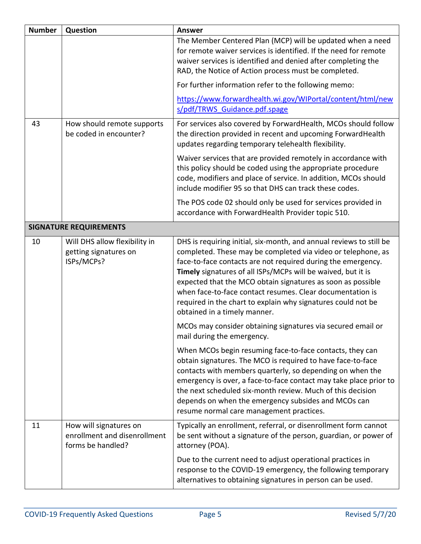| <b>Number</b> | Question                                                                    | <b>Answer</b>                                                                                                                                                                                                                                                                                                                                                                                                                                                                                   |
|---------------|-----------------------------------------------------------------------------|-------------------------------------------------------------------------------------------------------------------------------------------------------------------------------------------------------------------------------------------------------------------------------------------------------------------------------------------------------------------------------------------------------------------------------------------------------------------------------------------------|
|               |                                                                             | The Member Centered Plan (MCP) will be updated when a need<br>for remote waiver services is identified. If the need for remote<br>waiver services is identified and denied after completing the<br>RAD, the Notice of Action process must be completed.                                                                                                                                                                                                                                         |
|               |                                                                             | For further information refer to the following memo:                                                                                                                                                                                                                                                                                                                                                                                                                                            |
|               |                                                                             | https://www.forwardhealth.wi.gov/WIPortal/content/html/new<br>s/pdf/TRWS Guidance.pdf.spage                                                                                                                                                                                                                                                                                                                                                                                                     |
| 43            | How should remote supports<br>be coded in encounter?                        | For services also covered by ForwardHealth, MCOs should follow<br>the direction provided in recent and upcoming ForwardHealth<br>updates regarding temporary telehealth flexibility.                                                                                                                                                                                                                                                                                                            |
|               |                                                                             | Waiver services that are provided remotely in accordance with<br>this policy should be coded using the appropriate procedure<br>code, modifiers and place of service. In addition, MCOs should<br>include modifier 95 so that DHS can track these codes.                                                                                                                                                                                                                                        |
|               |                                                                             | The POS code 02 should only be used for services provided in<br>accordance with ForwardHealth Provider topic 510.                                                                                                                                                                                                                                                                                                                                                                               |
|               | <b>SIGNATURE REQUIREMENTS</b>                                               |                                                                                                                                                                                                                                                                                                                                                                                                                                                                                                 |
| 10            | Will DHS allow flexibility in<br>getting signatures on<br>ISPs/MCPs?        | DHS is requiring initial, six-month, and annual reviews to still be<br>completed. These may be completed via video or telephone, as<br>face-to-face contacts are not required during the emergency.<br>Timely signatures of all ISPs/MCPs will be waived, but it is<br>expected that the MCO obtain signatures as soon as possible<br>when face-to-face contact resumes. Clear documentation is<br>required in the chart to explain why signatures could not be<br>obtained in a timely manner. |
|               |                                                                             | MCOs may consider obtaining signatures via secured email or<br>mail during the emergency.                                                                                                                                                                                                                                                                                                                                                                                                       |
|               |                                                                             | When MCOs begin resuming face-to-face contacts, they can<br>obtain signatures. The MCO is required to have face-to-face<br>contacts with members quarterly, so depending on when the<br>emergency is over, a face-to-face contact may take place prior to<br>the next scheduled six-month review. Much of this decision<br>depends on when the emergency subsides and MCOs can<br>resume normal care management practices.                                                                      |
| 11            | How will signatures on<br>enrollment and disenrollment<br>forms be handled? | Typically an enrollment, referral, or disenrollment form cannot<br>be sent without a signature of the person, guardian, or power of<br>attorney (POA).                                                                                                                                                                                                                                                                                                                                          |
|               |                                                                             | Due to the current need to adjust operational practices in<br>response to the COVID-19 emergency, the following temporary<br>alternatives to obtaining signatures in person can be used.                                                                                                                                                                                                                                                                                                        |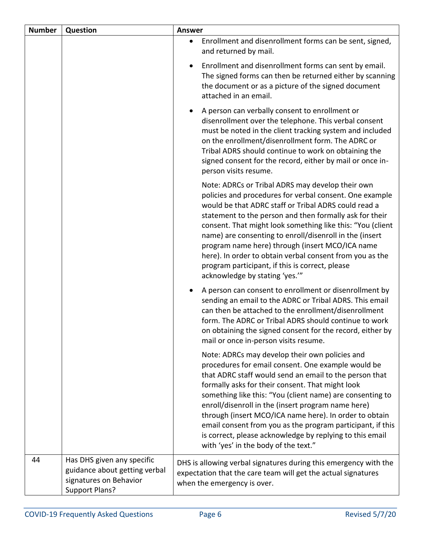| <b>Number</b> | Question                                                                                                       | <b>Answer</b>                                                                                                                                                                                                                                                                                                                                                                                                                                                                                                                                                     |
|---------------|----------------------------------------------------------------------------------------------------------------|-------------------------------------------------------------------------------------------------------------------------------------------------------------------------------------------------------------------------------------------------------------------------------------------------------------------------------------------------------------------------------------------------------------------------------------------------------------------------------------------------------------------------------------------------------------------|
|               |                                                                                                                | Enrollment and disenrollment forms can be sent, signed,<br>$\bullet$<br>and returned by mail.                                                                                                                                                                                                                                                                                                                                                                                                                                                                     |
|               |                                                                                                                | Enrollment and disenrollment forms can sent by email.<br>The signed forms can then be returned either by scanning<br>the document or as a picture of the signed document<br>attached in an email.                                                                                                                                                                                                                                                                                                                                                                 |
|               |                                                                                                                | A person can verbally consent to enrollment or<br>disenrollment over the telephone. This verbal consent<br>must be noted in the client tracking system and included<br>on the enrollment/disenrollment form. The ADRC or<br>Tribal ADRS should continue to work on obtaining the<br>signed consent for the record, either by mail or once in-<br>person visits resume.                                                                                                                                                                                            |
|               |                                                                                                                | Note: ADRCs or Tribal ADRS may develop their own<br>policies and procedures for verbal consent. One example<br>would be that ADRC staff or Tribal ADRS could read a<br>statement to the person and then formally ask for their<br>consent. That might look something like this: "You (client<br>name) are consenting to enroll/disenroll in the (insert<br>program name here) through (insert MCO/ICA name<br>here). In order to obtain verbal consent from you as the<br>program participant, if this is correct, please<br>acknowledge by stating 'yes.""       |
|               |                                                                                                                | A person can consent to enrollment or disenrollment by<br>sending an email to the ADRC or Tribal ADRS. This email<br>can then be attached to the enrollment/disenrollment<br>form. The ADRC or Tribal ADRS should continue to work<br>on obtaining the signed consent for the record, either by<br>mail or once in-person visits resume.                                                                                                                                                                                                                          |
|               |                                                                                                                | Note: ADRCs may develop their own policies and<br>procedures for email consent. One example would be<br>that ADRC staff would send an email to the person that<br>formally asks for their consent. That might look<br>something like this: "You (client name) are consenting to<br>enroll/disenroll in the (insert program name here)<br>through (insert MCO/ICA name here). In order to obtain<br>email consent from you as the program participant, if this<br>is correct, please acknowledge by replying to this email<br>with 'yes' in the body of the text." |
| 44            | Has DHS given any specific<br>guidance about getting verbal<br>signatures on Behavior<br><b>Support Plans?</b> | DHS is allowing verbal signatures during this emergency with the<br>expectation that the care team will get the actual signatures<br>when the emergency is over.                                                                                                                                                                                                                                                                                                                                                                                                  |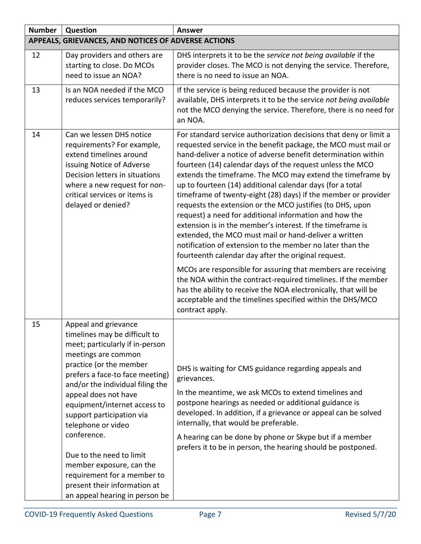| <b>Number</b> | Question                                                                                                                                                                                                                                                                                                                                                                                                                                                                                             | <b>Answer</b>                                                                                                                                                                                                                                                                                                                                                                                                                                                                                                                                                                                                                                                                                                                                                                                                                                                                                                                                                                                                                                                                                                        |  |
|---------------|------------------------------------------------------------------------------------------------------------------------------------------------------------------------------------------------------------------------------------------------------------------------------------------------------------------------------------------------------------------------------------------------------------------------------------------------------------------------------------------------------|----------------------------------------------------------------------------------------------------------------------------------------------------------------------------------------------------------------------------------------------------------------------------------------------------------------------------------------------------------------------------------------------------------------------------------------------------------------------------------------------------------------------------------------------------------------------------------------------------------------------------------------------------------------------------------------------------------------------------------------------------------------------------------------------------------------------------------------------------------------------------------------------------------------------------------------------------------------------------------------------------------------------------------------------------------------------------------------------------------------------|--|
|               | APPEALS, GRIEVANCES, AND NOTICES OF ADVERSE ACTIONS                                                                                                                                                                                                                                                                                                                                                                                                                                                  |                                                                                                                                                                                                                                                                                                                                                                                                                                                                                                                                                                                                                                                                                                                                                                                                                                                                                                                                                                                                                                                                                                                      |  |
| 12            | Day providers and others are<br>starting to close. Do MCOs<br>need to issue an NOA?                                                                                                                                                                                                                                                                                                                                                                                                                  | DHS interprets it to be the service not being available if the<br>provider closes. The MCO is not denying the service. Therefore,<br>there is no need to issue an NOA.                                                                                                                                                                                                                                                                                                                                                                                                                                                                                                                                                                                                                                                                                                                                                                                                                                                                                                                                               |  |
| 13            | Is an NOA needed if the MCO<br>reduces services temporarily?                                                                                                                                                                                                                                                                                                                                                                                                                                         | If the service is being reduced because the provider is not<br>available, DHS interprets it to be the service not being available<br>not the MCO denying the service. Therefore, there is no need for<br>an NOA.                                                                                                                                                                                                                                                                                                                                                                                                                                                                                                                                                                                                                                                                                                                                                                                                                                                                                                     |  |
| 14            | Can we lessen DHS notice<br>requirements? For example,<br>extend timelines around<br>issuing Notice of Adverse<br>Decision letters in situations<br>where a new request for non-<br>critical services or items is<br>delayed or denied?                                                                                                                                                                                                                                                              | For standard service authorization decisions that deny or limit a<br>requested service in the benefit package, the MCO must mail or<br>hand-deliver a notice of adverse benefit determination within<br>fourteen (14) calendar days of the request unless the MCO<br>extends the timeframe. The MCO may extend the timeframe by<br>up to fourteen (14) additional calendar days (for a total<br>timeframe of twenty-eight (28) days) if the member or provider<br>requests the extension or the MCO justifies (to DHS, upon<br>request) a need for additional information and how the<br>extension is in the member's interest. If the timeframe is<br>extended, the MCO must mail or hand-deliver a written<br>notification of extension to the member no later than the<br>fourteenth calendar day after the original request.<br>MCOs are responsible for assuring that members are receiving<br>the NOA within the contract-required timelines. If the member<br>has the ability to receive the NOA electronically, that will be<br>acceptable and the timelines specified within the DHS/MCO<br>contract apply. |  |
| 15            | Appeal and grievance<br>timelines may be difficult to<br>meet; particularly if in-person<br>meetings are common<br>practice (or the member<br>prefers a face-to face meeting)<br>and/or the individual filing the<br>appeal does not have<br>equipment/internet access to<br>support participation via<br>telephone or video<br>conference.<br>Due to the need to limit<br>member exposure, can the<br>requirement for a member to<br>present their information at<br>an appeal hearing in person be | DHS is waiting for CMS guidance regarding appeals and<br>grievances.<br>In the meantime, we ask MCOs to extend timelines and<br>postpone hearings as needed or additional guidance is<br>developed. In addition, if a grievance or appeal can be solved<br>internally, that would be preferable.<br>A hearing can be done by phone or Skype but if a member<br>prefers it to be in person, the hearing should be postponed.                                                                                                                                                                                                                                                                                                                                                                                                                                                                                                                                                                                                                                                                                          |  |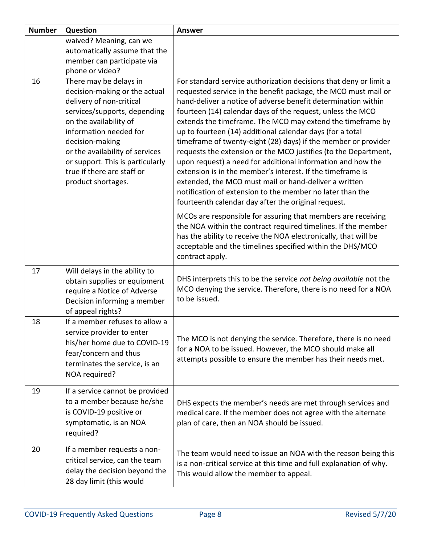| <b>Number</b> | Question                                                                                                                                                                                                                                                                                    | <b>Answer</b>                                                                                                                                                                                                                                                                                                                                                                                                                                                                                                                                                                                                                                                                                                    |
|---------------|---------------------------------------------------------------------------------------------------------------------------------------------------------------------------------------------------------------------------------------------------------------------------------------------|------------------------------------------------------------------------------------------------------------------------------------------------------------------------------------------------------------------------------------------------------------------------------------------------------------------------------------------------------------------------------------------------------------------------------------------------------------------------------------------------------------------------------------------------------------------------------------------------------------------------------------------------------------------------------------------------------------------|
|               | waived? Meaning, can we                                                                                                                                                                                                                                                                     |                                                                                                                                                                                                                                                                                                                                                                                                                                                                                                                                                                                                                                                                                                                  |
|               | automatically assume that the                                                                                                                                                                                                                                                               |                                                                                                                                                                                                                                                                                                                                                                                                                                                                                                                                                                                                                                                                                                                  |
|               | member can participate via                                                                                                                                                                                                                                                                  |                                                                                                                                                                                                                                                                                                                                                                                                                                                                                                                                                                                                                                                                                                                  |
|               | phone or video?                                                                                                                                                                                                                                                                             |                                                                                                                                                                                                                                                                                                                                                                                                                                                                                                                                                                                                                                                                                                                  |
| 16            | There may be delays in                                                                                                                                                                                                                                                                      | For standard service authorization decisions that deny or limit a                                                                                                                                                                                                                                                                                                                                                                                                                                                                                                                                                                                                                                                |
|               | decision-making or the actual<br>delivery of non-critical<br>services/supports, depending<br>on the availability of<br>information needed for<br>decision-making<br>or the availability of services<br>or support. This is particularly<br>true if there are staff or<br>product shortages. | requested service in the benefit package, the MCO must mail or<br>hand-deliver a notice of adverse benefit determination within<br>fourteen (14) calendar days of the request, unless the MCO<br>extends the timeframe. The MCO may extend the timeframe by<br>up to fourteen (14) additional calendar days (for a total<br>timeframe of twenty-eight (28) days) if the member or provider<br>requests the extension or the MCO justifies (to the Department,<br>upon request) a need for additional information and how the<br>extension is in the member's interest. If the timeframe is<br>extended, the MCO must mail or hand-deliver a written<br>notification of extension to the member no later than the |
|               |                                                                                                                                                                                                                                                                                             | fourteenth calendar day after the original request.                                                                                                                                                                                                                                                                                                                                                                                                                                                                                                                                                                                                                                                              |
|               |                                                                                                                                                                                                                                                                                             | MCOs are responsible for assuring that members are receiving<br>the NOA within the contract required timelines. If the member<br>has the ability to receive the NOA electronically, that will be<br>acceptable and the timelines specified within the DHS/MCO<br>contract apply.                                                                                                                                                                                                                                                                                                                                                                                                                                 |
| 17            | Will delays in the ability to                                                                                                                                                                                                                                                               |                                                                                                                                                                                                                                                                                                                                                                                                                                                                                                                                                                                                                                                                                                                  |
|               | obtain supplies or equipment<br>require a Notice of Adverse<br>Decision informing a member<br>of appeal rights?                                                                                                                                                                             | DHS interprets this to be the service not being available not the<br>MCO denying the service. Therefore, there is no need for a NOA<br>to be issued.                                                                                                                                                                                                                                                                                                                                                                                                                                                                                                                                                             |
| 18            | If a member refuses to allow a                                                                                                                                                                                                                                                              |                                                                                                                                                                                                                                                                                                                                                                                                                                                                                                                                                                                                                                                                                                                  |
|               | service provider to enter<br>his/her home due to COVID-19<br>fear/concern and thus<br>terminates the service, is an<br>NOA required?                                                                                                                                                        | The MCO is not denying the service. Therefore, there is no need<br>for a NOA to be issued. However, the MCO should make all<br>attempts possible to ensure the member has their needs met.                                                                                                                                                                                                                                                                                                                                                                                                                                                                                                                       |
| 19            | If a service cannot be provided<br>to a member because he/she<br>is COVID-19 positive or<br>symptomatic, is an NOA<br>required?                                                                                                                                                             | DHS expects the member's needs are met through services and<br>medical care. If the member does not agree with the alternate<br>plan of care, then an NOA should be issued.                                                                                                                                                                                                                                                                                                                                                                                                                                                                                                                                      |
| 20            | If a member requests a non-<br>critical service, can the team<br>delay the decision beyond the<br>28 day limit (this would                                                                                                                                                                  | The team would need to issue an NOA with the reason being this<br>is a non-critical service at this time and full explanation of why.<br>This would allow the member to appeal.                                                                                                                                                                                                                                                                                                                                                                                                                                                                                                                                  |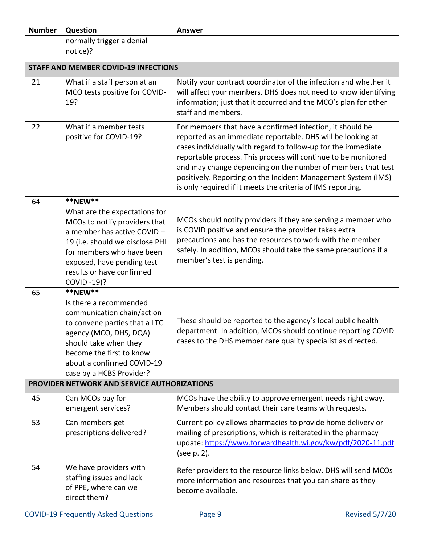| <b>Number</b> | Question                                                                                                                                                                                                                                          | <b>Answer</b>                                                                                                                                                                                                                                                                                                                                                                                                                                              |
|---------------|---------------------------------------------------------------------------------------------------------------------------------------------------------------------------------------------------------------------------------------------------|------------------------------------------------------------------------------------------------------------------------------------------------------------------------------------------------------------------------------------------------------------------------------------------------------------------------------------------------------------------------------------------------------------------------------------------------------------|
|               | normally trigger a denial                                                                                                                                                                                                                         |                                                                                                                                                                                                                                                                                                                                                                                                                                                            |
|               | notice)?                                                                                                                                                                                                                                          |                                                                                                                                                                                                                                                                                                                                                                                                                                                            |
|               | <b>STAFF AND MEMBER COVID-19 INFECTIONS</b>                                                                                                                                                                                                       |                                                                                                                                                                                                                                                                                                                                                                                                                                                            |
| 21            | What if a staff person at an<br>MCO tests positive for COVID-<br>19?                                                                                                                                                                              | Notify your contract coordinator of the infection and whether it<br>will affect your members. DHS does not need to know identifying<br>information; just that it occurred and the MCO's plan for other<br>staff and members.                                                                                                                                                                                                                               |
| 22            | What if a member tests<br>positive for COVID-19?                                                                                                                                                                                                  | For members that have a confirmed infection, it should be<br>reported as an immediate reportable. DHS will be looking at<br>cases individually with regard to follow-up for the immediate<br>reportable process. This process will continue to be monitored<br>and may change depending on the number of members that test<br>positively. Reporting on the Incident Management System (IMS)<br>is only required if it meets the criteria of IMS reporting. |
| 64            | **NEW**<br>What are the expectations for<br>MCOs to notify providers that<br>a member has active COVID-<br>19 (i.e. should we disclose PHI<br>for members who have been<br>exposed, have pending test<br>results or have confirmed<br>COVID -19)? | MCOs should notify providers if they are serving a member who<br>is COVID positive and ensure the provider takes extra<br>precautions and has the resources to work with the member<br>safely. In addition, MCOs should take the same precautions if a<br>member's test is pending.                                                                                                                                                                        |
| 65            | **NEW**<br>Is there a recommended<br>communication chain/action<br>to convene parties that a LTC<br>agency (MCO, DHS, DQA)<br>should take when they<br>become the first to know<br>about a confirmed COVID-19<br>case by a HCBS Provider?         | These should be reported to the agency's local public health<br>department. In addition, MCOs should continue reporting COVID<br>cases to the DHS member care quality specialist as directed.                                                                                                                                                                                                                                                              |
|               | PROVIDER NETWORK AND SERVICE AUTHORIZATIONS                                                                                                                                                                                                       |                                                                                                                                                                                                                                                                                                                                                                                                                                                            |
| 45            | Can MCOs pay for<br>emergent services?                                                                                                                                                                                                            | MCOs have the ability to approve emergent needs right away.<br>Members should contact their care teams with requests.                                                                                                                                                                                                                                                                                                                                      |
| 53            | Can members get<br>prescriptions delivered?                                                                                                                                                                                                       | Current policy allows pharmacies to provide home delivery or<br>mailing of prescriptions, which is reiterated in the pharmacy<br>update: https://www.forwardhealth.wi.gov/kw/pdf/2020-11.pdf<br>(see p. 2).                                                                                                                                                                                                                                                |
| 54            | We have providers with<br>staffing issues and lack<br>of PPE, where can we<br>direct them?                                                                                                                                                        | Refer providers to the resource links below. DHS will send MCOs<br>more information and resources that you can share as they<br>become available.                                                                                                                                                                                                                                                                                                          |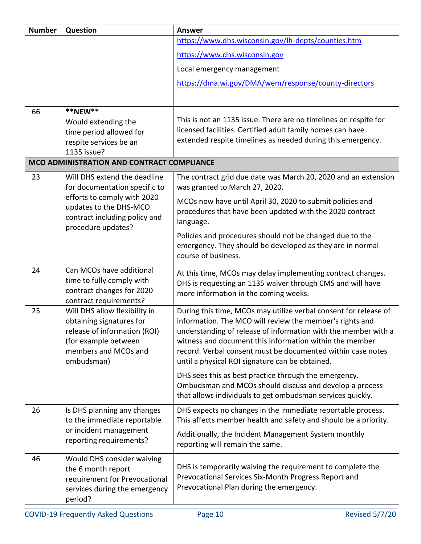| <b>Number</b> | Question                                                                                                                                                | <b>Answer</b>                                                                                                                                                                                                                                                                                                                                                               |
|---------------|---------------------------------------------------------------------------------------------------------------------------------------------------------|-----------------------------------------------------------------------------------------------------------------------------------------------------------------------------------------------------------------------------------------------------------------------------------------------------------------------------------------------------------------------------|
|               |                                                                                                                                                         | https://www.dhs.wisconsin.gov/lh-depts/counties.htm                                                                                                                                                                                                                                                                                                                         |
|               |                                                                                                                                                         | https://www.dhs.wisconsin.gov                                                                                                                                                                                                                                                                                                                                               |
|               |                                                                                                                                                         | Local emergency management                                                                                                                                                                                                                                                                                                                                                  |
|               |                                                                                                                                                         | https://dma.wi.gov/DMA/wem/response/county-directors                                                                                                                                                                                                                                                                                                                        |
|               |                                                                                                                                                         |                                                                                                                                                                                                                                                                                                                                                                             |
| 66            | **NEW**                                                                                                                                                 |                                                                                                                                                                                                                                                                                                                                                                             |
|               | Would extending the                                                                                                                                     | This is not an 1135 issue. There are no timelines on respite for                                                                                                                                                                                                                                                                                                            |
|               | time period allowed for<br>respite services be an                                                                                                       | licensed facilities. Certified adult family homes can have<br>extended respite timelines as needed during this emergency.                                                                                                                                                                                                                                                   |
|               | 1135 issue?                                                                                                                                             |                                                                                                                                                                                                                                                                                                                                                                             |
|               | MCO ADMINISTRATION AND CONTRACT COMPLIANCE                                                                                                              |                                                                                                                                                                                                                                                                                                                                                                             |
| 23            | Will DHS extend the deadline<br>for documentation specific to                                                                                           | The contract grid due date was March 20, 2020 and an extension<br>was granted to March 27, 2020.                                                                                                                                                                                                                                                                            |
|               | efforts to comply with 2020<br>updates to the DHS-MCO<br>contract including policy and                                                                  | MCOs now have until April 30, 2020 to submit policies and<br>procedures that have been updated with the 2020 contract<br>language.                                                                                                                                                                                                                                          |
|               | procedure updates?                                                                                                                                      | Policies and procedures should not be changed due to the<br>emergency. They should be developed as they are in normal<br>course of business.                                                                                                                                                                                                                                |
| 24            | Can MCOs have additional<br>time to fully comply with<br>contract changes for 2020<br>contract requirements?                                            | At this time, MCOs may delay implementing contract changes.<br>DHS is requesting an 1135 waiver through CMS and will have<br>more information in the coming weeks.                                                                                                                                                                                                          |
| 25            | Will DHS allow flexibility in<br>obtaining signatures for<br>release of information (ROI)<br>(for example between<br>members and MCOs and<br>ombudsman) | During this time, MCOs may utilize verbal consent for release of<br>information. The MCO will review the member's rights and<br>understanding of release of information with the member with a<br>witness and document this information within the member<br>record. Verbal consent must be documented within case notes<br>until a physical ROI signature can be obtained. |
|               |                                                                                                                                                         | DHS sees this as best practice through the emergency.<br>Ombudsman and MCOs should discuss and develop a process<br>that allows individuals to get ombudsman services quickly.                                                                                                                                                                                              |
| 26            | Is DHS planning any changes<br>to the immediate reportable                                                                                              | DHS expects no changes in the immediate reportable process.<br>This affects member health and safety and should be a priority.                                                                                                                                                                                                                                              |
|               | or incident management<br>reporting requirements?                                                                                                       | Additionally, the Incident Management System monthly<br>reporting will remain the same.                                                                                                                                                                                                                                                                                     |
| 46            | Would DHS consider waiving<br>the 6 month report<br>requirement for Prevocational<br>services during the emergency<br>period?                           | DHS is temporarily waiving the requirement to complete the<br>Prevocational Services Six-Month Progress Report and<br>Prevocational Plan during the emergency.                                                                                                                                                                                                              |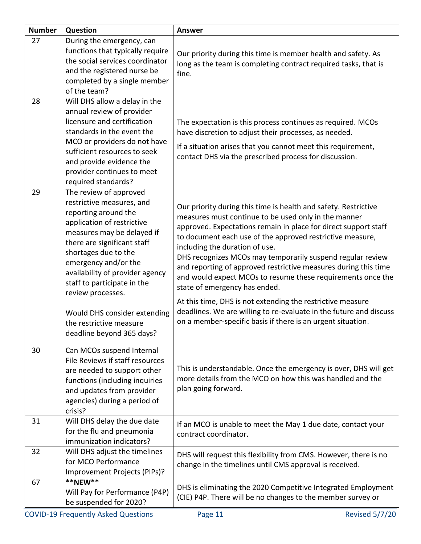| <b>Number</b> | Question                                                                                                                                                                                                                                                                                                                                                                                              | <b>Answer</b>                                                                                                                                                                                                                                                                                                                                                                                                                                                                                                                                                                                                                                                                                                                 |
|---------------|-------------------------------------------------------------------------------------------------------------------------------------------------------------------------------------------------------------------------------------------------------------------------------------------------------------------------------------------------------------------------------------------------------|-------------------------------------------------------------------------------------------------------------------------------------------------------------------------------------------------------------------------------------------------------------------------------------------------------------------------------------------------------------------------------------------------------------------------------------------------------------------------------------------------------------------------------------------------------------------------------------------------------------------------------------------------------------------------------------------------------------------------------|
| 27            | During the emergency, can<br>functions that typically require<br>the social services coordinator<br>and the registered nurse be<br>completed by a single member<br>of the team?                                                                                                                                                                                                                       | Our priority during this time is member health and safety. As<br>long as the team is completing contract required tasks, that is<br>fine.                                                                                                                                                                                                                                                                                                                                                                                                                                                                                                                                                                                     |
| 28            | Will DHS allow a delay in the<br>annual review of provider<br>licensure and certification<br>standards in the event the<br>MCO or providers do not have<br>sufficient resources to seek<br>and provide evidence the<br>provider continues to meet<br>required standards?                                                                                                                              | The expectation is this process continues as required. MCOs<br>have discretion to adjust their processes, as needed.<br>If a situation arises that you cannot meet this requirement,<br>contact DHS via the prescribed process for discussion.                                                                                                                                                                                                                                                                                                                                                                                                                                                                                |
| 29            | The review of approved<br>restrictive measures, and<br>reporting around the<br>application of restrictive<br>measures may be delayed if<br>there are significant staff<br>shortages due to the<br>emergency and/or the<br>availability of provider agency<br>staff to participate in the<br>review processes.<br>Would DHS consider extending<br>the restrictive measure<br>deadline beyond 365 days? | Our priority during this time is health and safety. Restrictive<br>measures must continue to be used only in the manner<br>approved. Expectations remain in place for direct support staff<br>to document each use of the approved restrictive measure,<br>including the duration of use.<br>DHS recognizes MCOs may temporarily suspend regular review<br>and reporting of approved restrictive measures during this time<br>and would expect MCOs to resume these requirements once the<br>state of emergency has ended.<br>At this time, DHS is not extending the restrictive measure<br>deadlines. We are willing to re-evaluate in the future and discuss<br>on a member-specific basis if there is an urgent situation. |
| 30            | Can MCOs suspend Internal<br>File Reviews if staff resources<br>are needed to support other<br>functions (including inquiries<br>and updates from provider<br>agencies) during a period of<br>crisis?                                                                                                                                                                                                 | This is understandable. Once the emergency is over, DHS will get<br>more details from the MCO on how this was handled and the<br>plan going forward.                                                                                                                                                                                                                                                                                                                                                                                                                                                                                                                                                                          |
| 31            | Will DHS delay the due date<br>for the flu and pneumonia<br>immunization indicators?                                                                                                                                                                                                                                                                                                                  | If an MCO is unable to meet the May 1 due date, contact your<br>contract coordinator.                                                                                                                                                                                                                                                                                                                                                                                                                                                                                                                                                                                                                                         |
| 32            | Will DHS adjust the timelines<br>for MCO Performance<br>Improvement Projects (PIPs)?                                                                                                                                                                                                                                                                                                                  | DHS will request this flexibility from CMS. However, there is no<br>change in the timelines until CMS approval is received.                                                                                                                                                                                                                                                                                                                                                                                                                                                                                                                                                                                                   |
| 67            | **NEW**<br>Will Pay for Performance (P4P)<br>be suspended for 2020?                                                                                                                                                                                                                                                                                                                                   | DHS is eliminating the 2020 Competitive Integrated Employment<br>(CIE) P4P. There will be no changes to the member survey or                                                                                                                                                                                                                                                                                                                                                                                                                                                                                                                                                                                                  |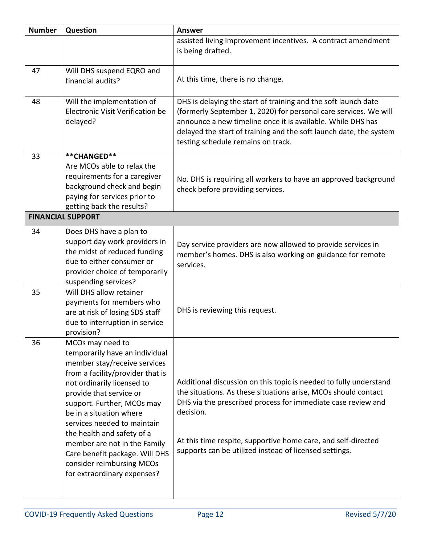| <b>Number</b> | Question                                                                                                                                                                                                                                                                                                                                                                                                                            | <b>Answer</b>                                                                                                                                                                                                                                                                                                                               |
|---------------|-------------------------------------------------------------------------------------------------------------------------------------------------------------------------------------------------------------------------------------------------------------------------------------------------------------------------------------------------------------------------------------------------------------------------------------|---------------------------------------------------------------------------------------------------------------------------------------------------------------------------------------------------------------------------------------------------------------------------------------------------------------------------------------------|
|               |                                                                                                                                                                                                                                                                                                                                                                                                                                     | assisted living improvement incentives. A contract amendment<br>is being drafted.                                                                                                                                                                                                                                                           |
| 47            | Will DHS suspend EQRO and<br>financial audits?                                                                                                                                                                                                                                                                                                                                                                                      | At this time, there is no change.                                                                                                                                                                                                                                                                                                           |
| 48            | Will the implementation of<br>Electronic Visit Verification be<br>delayed?                                                                                                                                                                                                                                                                                                                                                          | DHS is delaying the start of training and the soft launch date<br>(formerly September 1, 2020) for personal care services. We will<br>announce a new timeline once it is available. While DHS has<br>delayed the start of training and the soft launch date, the system<br>testing schedule remains on track.                               |
| 33            | **CHANGED**<br>Are MCOs able to relax the<br>requirements for a caregiver<br>background check and begin<br>paying for services prior to<br>getting back the results?                                                                                                                                                                                                                                                                | No. DHS is requiring all workers to have an approved background<br>check before providing services.                                                                                                                                                                                                                                         |
|               | <b>FINANCIAL SUPPORT</b>                                                                                                                                                                                                                                                                                                                                                                                                            |                                                                                                                                                                                                                                                                                                                                             |
| 34            | Does DHS have a plan to<br>support day work providers in<br>the midst of reduced funding<br>due to either consumer or<br>provider choice of temporarily<br>suspending services?                                                                                                                                                                                                                                                     | Day service providers are now allowed to provide services in<br>member's homes. DHS is also working on guidance for remote<br>services.                                                                                                                                                                                                     |
| 35            | Will DHS allow retainer<br>payments for members who<br>are at risk of losing SDS staff<br>due to interruption in service<br>provision?                                                                                                                                                                                                                                                                                              | DHS is reviewing this request.                                                                                                                                                                                                                                                                                                              |
| 36            | MCOs may need to<br>temporarily have an individual<br>member stay/receive services<br>from a facility/provider that is<br>not ordinarily licensed to<br>provide that service or<br>support. Further, MCOs may<br>be in a situation where<br>services needed to maintain<br>the health and safety of a<br>member are not in the Family<br>Care benefit package. Will DHS<br>consider reimbursing MCOs<br>for extraordinary expenses? | Additional discussion on this topic is needed to fully understand<br>the situations. As these situations arise, MCOs should contact<br>DHS via the prescribed process for immediate case review and<br>decision.<br>At this time respite, supportive home care, and self-directed<br>supports can be utilized instead of licensed settings. |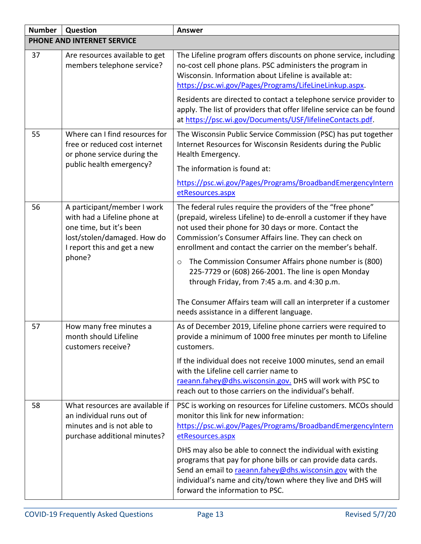| <b>Number</b>              | Question                                                                                                                                                       | <b>Answer</b>                                                                                                                                                                                                                                                                                                                                                                        |
|----------------------------|----------------------------------------------------------------------------------------------------------------------------------------------------------------|--------------------------------------------------------------------------------------------------------------------------------------------------------------------------------------------------------------------------------------------------------------------------------------------------------------------------------------------------------------------------------------|
| PHONE AND INTERNET SERVICE |                                                                                                                                                                |                                                                                                                                                                                                                                                                                                                                                                                      |
| 37                         | Are resources available to get<br>members telephone service?                                                                                                   | The Lifeline program offers discounts on phone service, including<br>no-cost cell phone plans. PSC administers the program in<br>Wisconsin. Information about Lifeline is available at:<br>https://psc.wi.gov/Pages/Programs/LifeLineLinkup.aspx.                                                                                                                                    |
|                            |                                                                                                                                                                | Residents are directed to contact a telephone service provider to<br>apply. The list of providers that offer lifeline service can be found<br>at https://psc.wi.gov/Documents/USF/lifelineContacts.pdf.                                                                                                                                                                              |
| 55                         | Where can I find resources for<br>free or reduced cost internet<br>or phone service during the<br>public health emergency?                                     | The Wisconsin Public Service Commission (PSC) has put together<br>Internet Resources for Wisconsin Residents during the Public<br>Health Emergency.                                                                                                                                                                                                                                  |
|                            |                                                                                                                                                                | The information is found at:                                                                                                                                                                                                                                                                                                                                                         |
|                            |                                                                                                                                                                | https://psc.wi.gov/Pages/Programs/BroadbandEmergencyIntern<br>etResources.aspx                                                                                                                                                                                                                                                                                                       |
| 56                         | A participant/member I work<br>with had a Lifeline phone at<br>one time, but it's been<br>lost/stolen/damaged. How do<br>I report this and get a new<br>phone? | The federal rules require the providers of the "free phone"<br>(prepaid, wireless Lifeline) to de-enroll a customer if they have<br>not used their phone for 30 days or more. Contact the<br>Commission's Consumer Affairs line. They can check on<br>enrollment and contact the carrier on the member's behalf.<br>The Commission Consumer Affairs phone number is (800)<br>$\circ$ |
|                            |                                                                                                                                                                | 225-7729 or (608) 266-2001. The line is open Monday<br>through Friday, from 7:45 a.m. and 4:30 p.m.<br>The Consumer Affairs team will call an interpreter if a customer                                                                                                                                                                                                              |
|                            |                                                                                                                                                                | needs assistance in a different language.                                                                                                                                                                                                                                                                                                                                            |
| 57                         | How many free minutes a<br>month should Lifeline<br>customers receive?                                                                                         | As of December 2019, Lifeline phone carriers were required to<br>provide a minimum of 1000 free minutes per month to Lifeline<br>customers.                                                                                                                                                                                                                                          |
|                            |                                                                                                                                                                | If the individual does not receive 1000 minutes, send an email<br>with the Lifeline cell carrier name to<br>raeann.fahey@dhs.wisconsin.gov. DHS will work with PSC to<br>reach out to those carriers on the individual's behalf.                                                                                                                                                     |
| 58                         | What resources are available if<br>an individual runs out of<br>minutes and is not able to<br>purchase additional minutes?                                     | PSC is working on resources for Lifeline customers. MCOs should<br>monitor this link for new information:<br>https://psc.wi.gov/Pages/Programs/BroadbandEmergencyIntern<br>etResources.aspx                                                                                                                                                                                          |
|                            |                                                                                                                                                                | DHS may also be able to connect the individual with existing<br>programs that pay for phone bills or can provide data cards.<br>Send an email to raeann.fahey@dhs.wisconsin.gov with the<br>individual's name and city/town where they live and DHS will<br>forward the information to PSC.                                                                                          |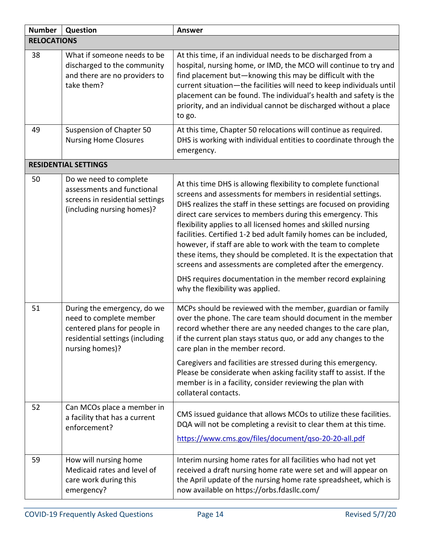| <b>Number</b>      | Question                                                                                                                                     | <b>Answer</b>                                                                                                                                                                                                                                                                                                                                                                                                                                                                                                                                                                                                |  |
|--------------------|----------------------------------------------------------------------------------------------------------------------------------------------|--------------------------------------------------------------------------------------------------------------------------------------------------------------------------------------------------------------------------------------------------------------------------------------------------------------------------------------------------------------------------------------------------------------------------------------------------------------------------------------------------------------------------------------------------------------------------------------------------------------|--|
| <b>RELOCATIONS</b> |                                                                                                                                              |                                                                                                                                                                                                                                                                                                                                                                                                                                                                                                                                                                                                              |  |
| 38                 | What if someone needs to be<br>discharged to the community<br>and there are no providers to<br>take them?                                    | At this time, if an individual needs to be discharged from a<br>hospital, nursing home, or IMD, the MCO will continue to try and<br>find placement but-knowing this may be difficult with the<br>current situation-the facilities will need to keep individuals until<br>placement can be found. The individual's health and safety is the<br>priority, and an individual cannot be discharged without a place<br>to go.                                                                                                                                                                                     |  |
| 49                 | Suspension of Chapter 50<br><b>Nursing Home Closures</b>                                                                                     | At this time, Chapter 50 relocations will continue as required.<br>DHS is working with individual entities to coordinate through the<br>emergency.                                                                                                                                                                                                                                                                                                                                                                                                                                                           |  |
|                    | <b>RESIDENTIAL SETTINGS</b>                                                                                                                  |                                                                                                                                                                                                                                                                                                                                                                                                                                                                                                                                                                                                              |  |
| 50                 | Do we need to complete<br>assessments and functional<br>screens in residential settings<br>(including nursing homes)?                        | At this time DHS is allowing flexibility to complete functional<br>screens and assessments for members in residential settings.<br>DHS realizes the staff in these settings are focused on providing<br>direct care services to members during this emergency. This<br>flexibility applies to all licensed homes and skilled nursing<br>facilities. Certified 1-2 bed adult family homes can be included,<br>however, if staff are able to work with the team to complete<br>these items, they should be completed. It is the expectation that<br>screens and assessments are completed after the emergency. |  |
|                    |                                                                                                                                              | DHS requires documentation in the member record explaining<br>why the flexibility was applied.                                                                                                                                                                                                                                                                                                                                                                                                                                                                                                               |  |
| 51                 | During the emergency, do we<br>need to complete member<br>centered plans for people in<br>residential settings (including<br>nursing homes)? | MCPs should be reviewed with the member, guardian or family<br>over the phone. The care team should document in the member<br>record whether there are any needed changes to the care plan,<br>if the current plan stays status quo, or add any changes to the<br>care plan in the member record.<br>Caregivers and facilities are stressed during this emergency.<br>Please be considerate when asking facility staff to assist. If the<br>member is in a facility, consider reviewing the plan with                                                                                                        |  |
|                    |                                                                                                                                              | collateral contacts.                                                                                                                                                                                                                                                                                                                                                                                                                                                                                                                                                                                         |  |
| 52                 | Can MCOs place a member in<br>a facility that has a current<br>enforcement?                                                                  | CMS issued guidance that allows MCOs to utilize these facilities.<br>DQA will not be completing a revisit to clear them at this time.<br>https://www.cms.gov/files/document/gso-20-20-all.pdf                                                                                                                                                                                                                                                                                                                                                                                                                |  |
| 59                 | How will nursing home<br>Medicaid rates and level of<br>care work during this<br>emergency?                                                  | Interim nursing home rates for all facilities who had not yet<br>received a draft nursing home rate were set and will appear on<br>the April update of the nursing home rate spreadsheet, which is<br>now available on https://orbs.fdasllc.com/                                                                                                                                                                                                                                                                                                                                                             |  |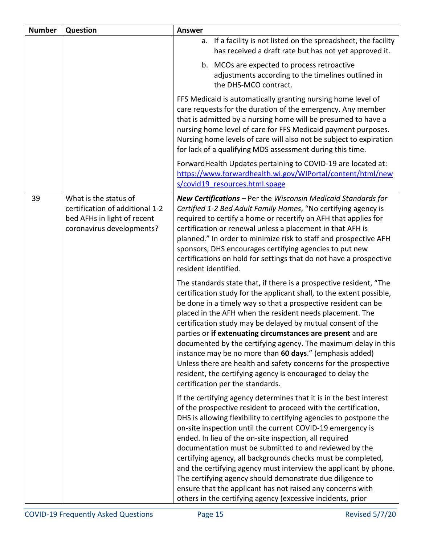| <b>Number</b> | Question                                                                                                             | <b>Answer</b>                                                                                                                                                                                                                                                                                                                                                                                                                                                                                                                                                                                                                                                                                                               |  |
|---------------|----------------------------------------------------------------------------------------------------------------------|-----------------------------------------------------------------------------------------------------------------------------------------------------------------------------------------------------------------------------------------------------------------------------------------------------------------------------------------------------------------------------------------------------------------------------------------------------------------------------------------------------------------------------------------------------------------------------------------------------------------------------------------------------------------------------------------------------------------------------|--|
|               |                                                                                                                      | If a facility is not listed on the spreadsheet, the facility<br>а.<br>has received a draft rate but has not yet approved it.                                                                                                                                                                                                                                                                                                                                                                                                                                                                                                                                                                                                |  |
|               |                                                                                                                      | b. MCOs are expected to process retroactive<br>adjustments according to the timelines outlined in<br>the DHS-MCO contract.                                                                                                                                                                                                                                                                                                                                                                                                                                                                                                                                                                                                  |  |
|               |                                                                                                                      | FFS Medicaid is automatically granting nursing home level of<br>care requests for the duration of the emergency. Any member<br>that is admitted by a nursing home will be presumed to have a<br>nursing home level of care for FFS Medicaid payment purposes.<br>Nursing home levels of care will also not be subject to expiration<br>for lack of a qualifying MDS assessment during this time.                                                                                                                                                                                                                                                                                                                            |  |
|               |                                                                                                                      | ForwardHealth Updates pertaining to COVID-19 are located at:<br>https://www.forwardhealth.wi.gov/WIPortal/content/html/new<br>s/covid19 resources.html.spage                                                                                                                                                                                                                                                                                                                                                                                                                                                                                                                                                                |  |
| 39            | What is the status of<br>certification of additional 1-2<br>bed AFHs in light of recent<br>coronavirus developments? | <b>New Certifications</b> – Per the Wisconsin Medicaid Standards for<br>Certified 1-2 Bed Adult Family Homes, "No certifying agency is<br>required to certify a home or recertify an AFH that applies for<br>certification or renewal unless a placement in that AFH is<br>planned." In order to minimize risk to staff and prospective AFH<br>sponsors, DHS encourages certifying agencies to put new<br>certifications on hold for settings that do not have a prospective<br>resident identified.                                                                                                                                                                                                                        |  |
|               |                                                                                                                      | The standards state that, if there is a prospective resident, "The<br>certification study for the applicant shall, to the extent possible,<br>be done in a timely way so that a prospective resident can be<br>placed in the AFH when the resident needs placement. The<br>certification study may be delayed by mutual consent of the<br>parties or if extenuating circumstances are present and are<br>documented by the certifying agency. The maximum delay in this<br>instance may be no more than 60 days." (emphasis added)<br>Unless there are health and safety concerns for the prospective<br>resident, the certifying agency is encouraged to delay the<br>certification per the standards.                     |  |
|               |                                                                                                                      | If the certifying agency determines that it is in the best interest<br>of the prospective resident to proceed with the certification,<br>DHS is allowing flexibility to certifying agencies to postpone the<br>on-site inspection until the current COVID-19 emergency is<br>ended. In lieu of the on-site inspection, all required<br>documentation must be submitted to and reviewed by the<br>certifying agency, all backgrounds checks must be completed,<br>and the certifying agency must interview the applicant by phone.<br>The certifying agency should demonstrate due diligence to<br>ensure that the applicant has not raised any concerns with<br>others in the certifying agency (excessive incidents, prior |  |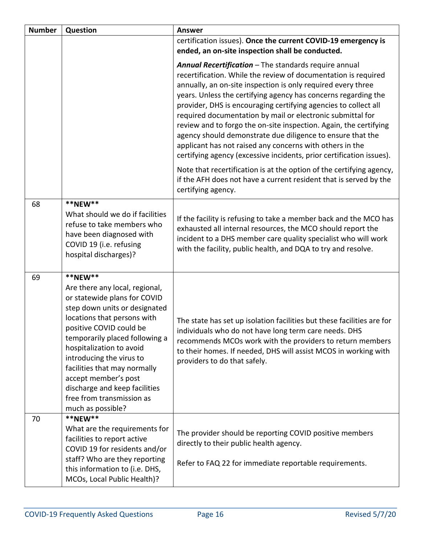| <b>Number</b> | <b>Question</b>                                                                                                                                                                                                                                                                                                                                                                                           | <b>Answer</b>                                                                                                                                                                                                                                                                                                                                                                                                                                                                                                                                                                                                                                                     |
|---------------|-----------------------------------------------------------------------------------------------------------------------------------------------------------------------------------------------------------------------------------------------------------------------------------------------------------------------------------------------------------------------------------------------------------|-------------------------------------------------------------------------------------------------------------------------------------------------------------------------------------------------------------------------------------------------------------------------------------------------------------------------------------------------------------------------------------------------------------------------------------------------------------------------------------------------------------------------------------------------------------------------------------------------------------------------------------------------------------------|
|               |                                                                                                                                                                                                                                                                                                                                                                                                           | certification issues). Once the current COVID-19 emergency is<br>ended, an on-site inspection shall be conducted.                                                                                                                                                                                                                                                                                                                                                                                                                                                                                                                                                 |
|               |                                                                                                                                                                                                                                                                                                                                                                                                           | Annual Recertification - The standards require annual<br>recertification. While the review of documentation is required<br>annually, an on-site inspection is only required every three<br>years. Unless the certifying agency has concerns regarding the<br>provider, DHS is encouraging certifying agencies to collect all<br>required documentation by mail or electronic submittal for<br>review and to forgo the on-site inspection. Again, the certifying<br>agency should demonstrate due diligence to ensure that the<br>applicant has not raised any concerns with others in the<br>certifying agency (excessive incidents, prior certification issues). |
|               |                                                                                                                                                                                                                                                                                                                                                                                                           | Note that recertification is at the option of the certifying agency,<br>if the AFH does not have a current resident that is served by the<br>certifying agency.                                                                                                                                                                                                                                                                                                                                                                                                                                                                                                   |
| 68            | **NEW**<br>What should we do if facilities<br>refuse to take members who<br>have been diagnosed with<br>COVID 19 (i.e. refusing<br>hospital discharges)?                                                                                                                                                                                                                                                  | If the facility is refusing to take a member back and the MCO has<br>exhausted all internal resources, the MCO should report the<br>incident to a DHS member care quality specialist who will work<br>with the facility, public health, and DQA to try and resolve.                                                                                                                                                                                                                                                                                                                                                                                               |
| 69            | **NEW**<br>Are there any local, regional,<br>or statewide plans for COVID<br>step down units or designated<br>locations that persons with<br>positive COVID could be<br>temporarily placed following a<br>hospitalization to avoid<br>introducing the virus to<br>facilities that may normally<br>accept member's post<br>discharge and keep facilities<br>free from transmission as<br>much as possible? | The state has set up isolation facilities but these facilities are for<br>individuals who do not have long term care needs. DHS<br>recommends MCOs work with the providers to return members<br>to their homes. If needed, DHS will assist MCOS in working with<br>providers to do that safely.                                                                                                                                                                                                                                                                                                                                                                   |
| 70            | **NEW**<br>What are the requirements for<br>facilities to report active<br>COVID 19 for residents and/or<br>staff? Who are they reporting<br>this information to (i.e. DHS,<br>MCOs, Local Public Health)?                                                                                                                                                                                                | The provider should be reporting COVID positive members<br>directly to their public health agency.<br>Refer to FAQ 22 for immediate reportable requirements.                                                                                                                                                                                                                                                                                                                                                                                                                                                                                                      |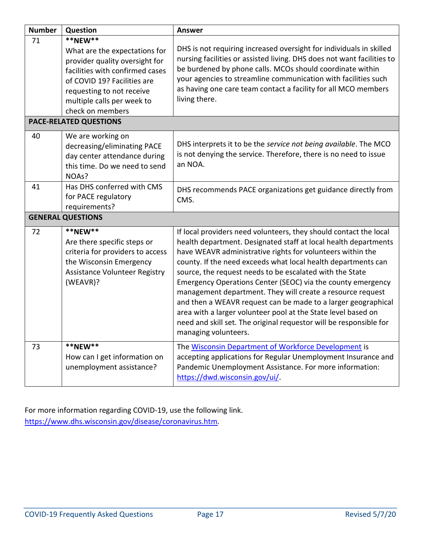| <b>Number</b> | Question                                                                                                                                                                                                                                                     | <b>Answer</b>                                                                                                                                                                                                                                                                                                                                                                                                                                                                                                                                                                                                                                                                                |
|---------------|--------------------------------------------------------------------------------------------------------------------------------------------------------------------------------------------------------------------------------------------------------------|----------------------------------------------------------------------------------------------------------------------------------------------------------------------------------------------------------------------------------------------------------------------------------------------------------------------------------------------------------------------------------------------------------------------------------------------------------------------------------------------------------------------------------------------------------------------------------------------------------------------------------------------------------------------------------------------|
| 71            | **NEW**<br>What are the expectations for<br>provider quality oversight for<br>facilities with confirmed cases<br>of COVID 19? Facilities are<br>requesting to not receive<br>multiple calls per week to<br>check on members<br><b>PACE-RELATED QUESTIONS</b> | DHS is not requiring increased oversight for individuals in skilled<br>nursing facilities or assisted living. DHS does not want facilities to<br>be burdened by phone calls. MCOs should coordinate within<br>your agencies to streamline communication with facilities such<br>as having one care team contact a facility for all MCO members<br>living there.                                                                                                                                                                                                                                                                                                                              |
| 40            | We are working on<br>decreasing/eliminating PACE<br>day center attendance during<br>this time. Do we need to send<br>NOAs?                                                                                                                                   | DHS interprets it to be the service not being available. The MCO<br>is not denying the service. Therefore, there is no need to issue<br>an NOA.                                                                                                                                                                                                                                                                                                                                                                                                                                                                                                                                              |
| 41            | Has DHS conferred with CMS<br>for PACE regulatory<br>requirements?                                                                                                                                                                                           | DHS recommends PACE organizations get guidance directly from<br>CMS.                                                                                                                                                                                                                                                                                                                                                                                                                                                                                                                                                                                                                         |
|               | <b>GENERAL QUESTIONS</b>                                                                                                                                                                                                                                     |                                                                                                                                                                                                                                                                                                                                                                                                                                                                                                                                                                                                                                                                                              |
| 72            | **NEW**<br>Are there specific steps or<br>criteria for providers to access<br>the Wisconsin Emergency<br>Assistance Volunteer Registry<br>(WEAVR)?                                                                                                           | If local providers need volunteers, they should contact the local<br>health department. Designated staff at local health departments<br>have WEAVR administrative rights for volunteers within the<br>county. If the need exceeds what local health departments can<br>source, the request needs to be escalated with the State<br>Emergency Operations Center (SEOC) via the county emergency<br>management department. They will create a resource request<br>and then a WEAVR request can be made to a larger geographical<br>area with a larger volunteer pool at the State level based on<br>need and skill set. The original requestor will be responsible for<br>managing volunteers. |
| 73            | **NEW**<br>How can I get information on<br>unemployment assistance?                                                                                                                                                                                          | The Wisconsin Department of Workforce Development is<br>accepting applications for Regular Unemployment Insurance and<br>Pandemic Unemployment Assistance. For more information:<br>https://dwd.wisconsin.gov/ui/.                                                                                                                                                                                                                                                                                                                                                                                                                                                                           |

For more information regarding COVID-19, use the following link. <https://www.dhs.wisconsin.gov/disease/coronavirus.htm>*.*